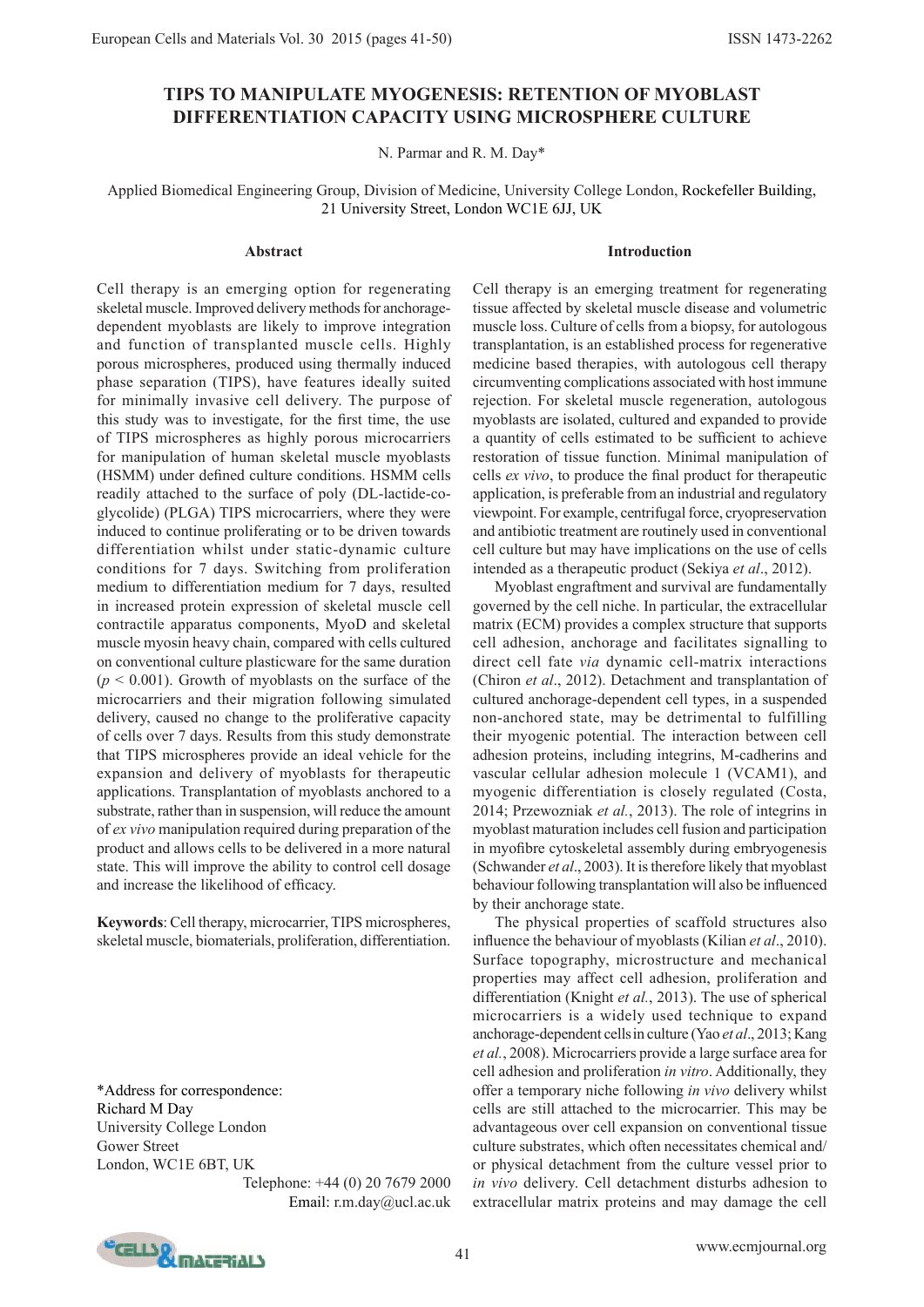# **TIPS TO MANIPULATE MYOGENESIS: RETENTION OF MYOBLAST DIFFERENTIATION CAPACITY USING MICROSPHERE CULTURE**

N. Parmar and R. M. Day\*

Applied Biomedical Engineering Group, Division of Medicine, University College London, Rockefeller Building, 21 University Street, London WC1E 6JJ, UK

#### **Abstract**

**Introduction**

Cell therapy is an emerging option for regenerating skeletal muscle. Improved delivery methods for anchoragedependent myoblasts are likely to improve integration and function of transplanted muscle cells. Highly porous microspheres, produced using thermally induced phase separation (TIPS), have features ideally suited for minimally invasive cell delivery. The purpose of this study was to investigate, for the first time, the use of TIPS microspheres as highly porous microcarriers for manipulation of human skeletal muscle myoblasts (HSMM) under defined culture conditions. HSMM cells readily attached to the surface of poly (DL-lactide-coglycolide) (PLGA) TIPS microcarriers, where they were induced to continue proliferating or to be driven towards differentiation whilst under static-dynamic culture conditions for 7 days. Switching from proliferation medium to differentiation medium for 7 days, resulted in increased protein expression of skeletal muscle cell contractile apparatus components, MyoD and skeletal muscle myosin heavy chain, compared with cells cultured on conventional culture plasticware for the same duration  $(p < 0.001)$ . Growth of myoblasts on the surface of the microcarriers and their migration following simulated delivery, caused no change to the proliferative capacity of cells over 7 days. Results from this study demonstrate that TIPS microspheres provide an ideal vehicle for the expansion and delivery of myoblasts for therapeutic applications. Transplantation of myoblasts anchored to a substrate, rather than in suspension, will reduce the amount of *ex vivo* manipulation required during preparation of the product and allows cells to be delivered in a more natural state. This will improve the ability to control cell dosage and increase the likelihood of efficacy.

**Keywords**: Cell therapy, microcarrier, TIPS microspheres, skeletal muscle, biomaterials, proliferation, differentiation.

\*Address for correspondence: Richard M Day University College London Gower Street London, WC1E 6BT, UK

Telephone: +44 (0) 20 7679 2000 Email: r.m.day@ucl.ac.uk Cell therapy is an emerging treatment for regenerating tissue affected by skeletal muscle disease and volumetric muscle loss. Culture of cells from a biopsy, for autologous transplantation, is an established process for regenerative medicine based therapies, with autologous cell therapy circumventing complications associated with host immune rejection. For skeletal muscle regeneration, autologous myoblasts are isolated, cultured and expanded to provide a quantity of cells estimated to be sufficient to achieve restoration of tissue function. Minimal manipulation of cells *ex vivo*, to produce the final product for therapeutic application, is preferable from an industrial and regulatory viewpoint. For example, centrifugal force, cryopreservation and antibiotic treatment are routinely used in conventional cell culture but may have implications on the use of cells intended as a therapeutic product (Sekiya *et al*., 2012).

Myoblast engraftment and survival are fundamentally governed by the cell niche. In particular, the extracellular matrix (ECM) provides a complex structure that supports cell adhesion, anchorage and facilitates signalling to direct cell fate *via* dynamic cell-matrix interactions (Chiron *et al*., 2012). Detachment and transplantation of cultured anchorage-dependent cell types, in a suspended non-anchored state, may be detrimental to fulfilling their myogenic potential. The interaction between cell adhesion proteins, including integrins, M-cadherins and vascular cellular adhesion molecule 1 (VCAM1), and myogenic differentiation is closely regulated (Costa, 2014; Przewozniak *et al.*, 2013). The role of integrins in myoblast maturation includes cell fusion and participation in myofibre cytoskeletal assembly during embryogenesis (Schwander *et al*., 2003). It is therefore likely that myoblast behaviour following transplantation will also be influenced by their anchorage state.

The physical properties of scaffold structures also influence the behaviour of myoblasts (Kilian *et al*., 2010). Surface topography, microstructure and mechanical properties may affect cell adhesion, proliferation and differentiation (Knight *et al.*, 2013). The use of spherical microcarriers is a widely used technique to expand anchorage-dependent cellsin culture (Yao *et al*., 2013; Kang *et al.*, 2008). Microcarriers provide a large surface area for cell adhesion and proliferation *in vitro*. Additionally, they offer a temporary niche following *in vivo* delivery whilst cells are still attached to the microcarrier. This may be advantageous over cell expansion on conventional tissue culture substrates, which often necessitates chemical and/ or physical detachment from the culture vessel prior to *in vivo* delivery. Cell detachment disturbs adhesion to extracellular matrix proteins and may damage the cell

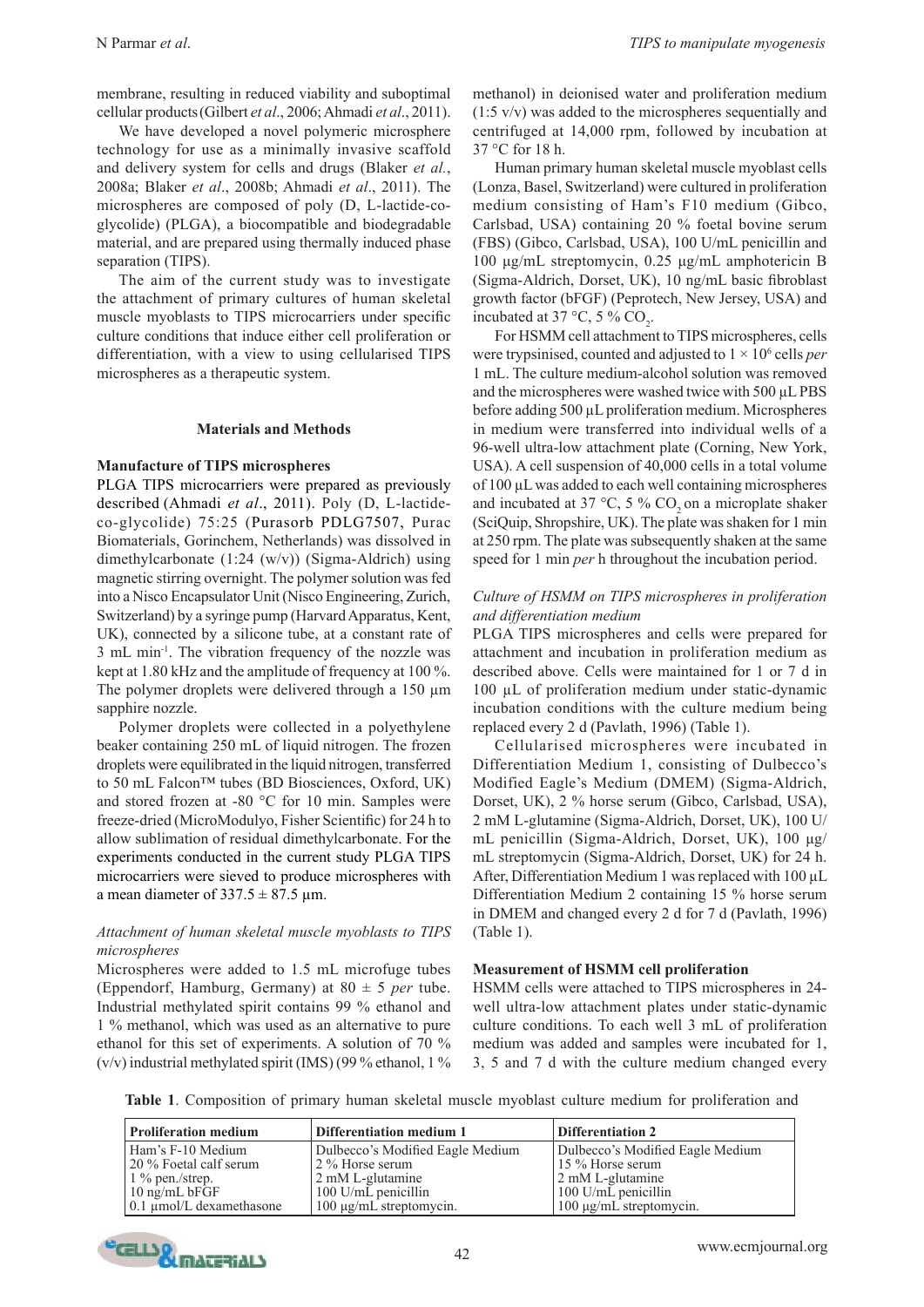membrane, resulting in reduced viability and suboptimal cellular products(Gilbert *et al*., 2006; Ahmadi *et al*., 2011).

We have developed a novel polymeric microsphere technology for use as a minimally invasive scaffold and delivery system for cells and drugs (Blaker *et al.*, 2008a; Blaker *et al*., 2008b; Ahmadi *et al*., 2011). The microspheres are composed of poly (D, L-lactide-coglycolide) (PLGA), a biocompatible and biodegradable material, and are prepared using thermally induced phase separation (TIPS).

The aim of the current study was to investigate the attachment of primary cultures of human skeletal muscle myoblasts to TIPS microcarriers under specific culture conditions that induce either cell proliferation or differentiation, with a view to using cellularised TIPS microspheres as a therapeutic system.

### **Materials and Methods**

### **Manufacture of TIPS microspheres**

PLGA TIPS microcarriers were prepared as previously described (Ahmadi *et al*., 2011). Poly (D, L-lactideco-glycolide) 75:25 (Purasorb PDLG7507, Purac Biomaterials, Gorinchem, Netherlands) was dissolved in dimethylcarbonate (1:24 (w/v)) (Sigma-Aldrich) using magnetic stirring overnight. The polymer solution was fed into a Nisco Encapsulator Unit (Nisco Engineering, Zurich, Switzerland) by a syringe pump (Harvard Apparatus, Kent, UK), connected by a silicone tube, at a constant rate of 3 mL min-1. The vibration frequency of the nozzle was kept at 1.80 kHz and the amplitude of frequency at 100 %. The polymer droplets were delivered through a 150  $\mu$ m sapphire nozzle.

Polymer droplets were collected in a polyethylene beaker containing 250 mL of liquid nitrogen. The frozen droplets were equilibrated in the liquid nitrogen, transferred to 50 mL Falcon™ tubes (BD Biosciences, Oxford, UK) and stored frozen at -80 °C for 10 min. Samples were freeze-dried (MicroModulyo, Fisher Scientific) for 24 h to allow sublimation of residual dimethylcarbonate. For the experiments conducted in the current study PLGA TIPS microcarriers were sieved to produce microspheres with a mean diameter of  $337.5 \pm 87.5$  µm.

## *Attachment of human skeletal muscle myoblasts to TIPS microspheres*

Microspheres were added to 1.5 mL microfuge tubes (Eppendorf, Hamburg, Germany) at 80 ± 5 *per* tube. Industrial methylated spirit contains 99 % ethanol and 1 % methanol, which was used as an alternative to pure ethanol for this set of experiments. A solution of 70 %  $(v/v)$  industrial methylated spirit (IMS) (99 % ethanol, 1 %

methanol) in deionised water and proliferation medium  $(1:5 \text{ v/v})$  was added to the microspheres sequentially and centrifuged at 14,000 rpm, followed by incubation at 37 °C for 18 h.

Human primary human skeletal muscle myoblast cells (Lonza, Basel, Switzerland) were cultured in proliferation medium consisting of Ham's F10 medium (Gibco, Carlsbad, USA) containing 20 % foetal bovine serum (FBS) (Gibco, Carlsbad, USA), 100 U/mL penicillin and 100 μg/mL streptomycin, 0.25 μg/mL amphotericin B (Sigma-Aldrich, Dorset, UK), 10 ng/mL basic fibroblast growth factor (bFGF) (Peprotech, New Jersey, USA) and incubated at 37 °C, 5 %  $CO_2$ .

For HSMM cell attachment to TIPS microspheres, cells were trypsinised, counted and adjusted to  $1 \times 10^6$  cells *per* 1 mL. The culture medium-alcohol solution was removed and the microspheres were washed twice with 500 µL PBS before adding 500 µL proliferation medium. Microspheres in medium were transferred into individual wells of a 96-well ultra-low attachment plate (Corning, New York, USA). A cell suspension of 40,000 cells in a total volume of 100 µL was added to each well containing microspheres and incubated at 37  $\degree$ C, 5 % CO<sub>2</sub> on a microplate shaker (SciQuip, Shropshire, UK). The plate was shaken for 1 min at 250 rpm. The plate was subsequently shaken at the same speed for 1 min *per* h throughout the incubation period.

## *Culture of HSMM on TIPS microspheres in proliferation and differentiation medium*

PLGA TIPS microspheres and cells were prepared for attachment and incubation in proliferation medium as described above. Cells were maintained for 1 or 7 d in 100 µL of proliferation medium under static-dynamic incubation conditions with the culture medium being replaced every 2 d (Pavlath, 1996) (Table 1).

Cellularised microspheres were incubated in Differentiation Medium 1, consisting of Dulbecco's Modified Eagle's Medium (DMEM) (Sigma-Aldrich, Dorset, UK), 2 % horse serum (Gibco, Carlsbad, USA), 2 mM L-glutamine (Sigma-Aldrich, Dorset, UK), 100 U/ mL penicillin (Sigma-Aldrich, Dorset, UK), 100 μg/ mL streptomycin (Sigma-Aldrich, Dorset, UK) for 24 h. After, Differentiation Medium 1 was replaced with 100  $\mu$ L Differentiation Medium 2 containing 15 % horse serum in DMEM and changed every 2 d for 7 d (Pavlath, 1996) (Table 1).

### **Measurement of HSMM cell proliferation**

HSMM cells were attached to TIPS microspheres in 24 well ultra-low attachment plates under static-dynamic culture conditions. To each well 3 mL of proliferation medium was added and samples were incubated for 1, 3, 5 and 7 d with the culture medium changed every

**Table 1**. Composition of primary human skeletal muscle myoblast culture medium for proliferation and

| <b>Proliferation medium</b>        | Differentiation medium 1         | <b>Differentiation 2</b>         |  |
|------------------------------------|----------------------------------|----------------------------------|--|
| Ham's F-10 Medium                  | Dulbecco's Modified Eagle Medium | Dulbecco's Modified Eagle Medium |  |
| 20 % Foetal calf serum             | 2 % Horse serum                  | 15 % Horse serum                 |  |
| $1\%$ pen./strep.                  | 2 mM L-glutamine                 | 2 mM L-glutamine                 |  |
| $10 \text{ ng/mL bFGF}$            | 100 U/mL penicillin              | $100$ U/mL penicillin            |  |
| $0.1 \text{ µmol/L}$ dexamethasone | $100 \mu$ g/mL streptomycin.     | $100 \mu g/mL$ streptomycin.     |  |

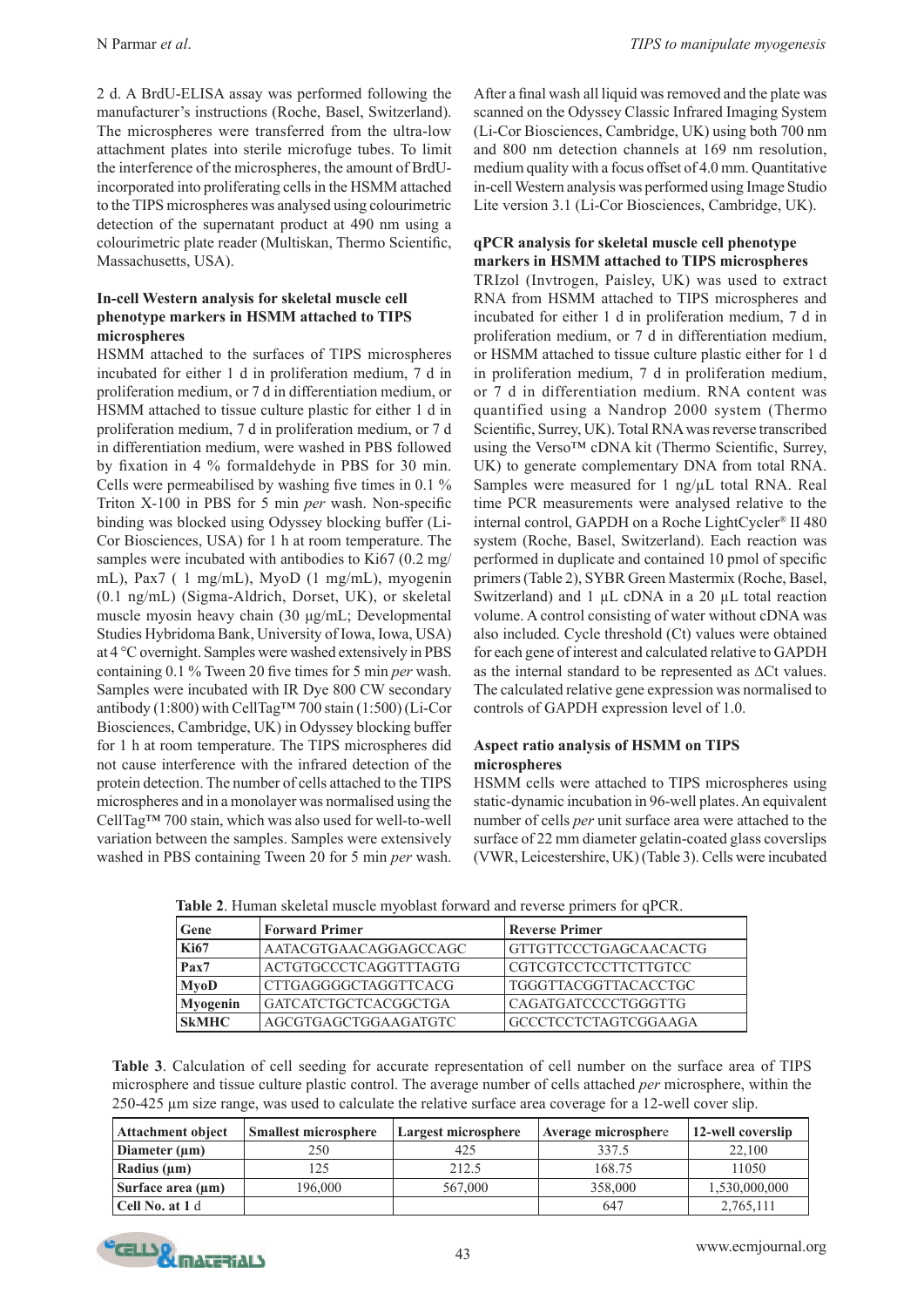2 d. A BrdU-ELISA assay was performed following the manufacturer's instructions (Roche, Basel, Switzerland). The microspheres were transferred from the ultra-low attachment plates into sterile microfuge tubes. To limit the interference of the microspheres, the amount of BrdUincorporated into proliferating cells in the HSMM attached to the TIPS microspheres was analysed using colourimetric detection of the supernatant product at 490 nm using a colourimetric plate reader (Multiskan, Thermo Scientific, Massachusetts, USA).

## **In-cell Western analysis for skeletal muscle cell phenotype markers in HSMM attached to TIPS microspheres**

HSMM attached to the surfaces of TIPS microspheres incubated for either 1 d in proliferation medium, 7 d in proliferation medium, or 7 d in differentiation medium, or HSMM attached to tissue culture plastic for either 1 d in proliferation medium, 7 d in proliferation medium, or 7 d in differentiation medium, were washed in PBS followed by fixation in 4 % formaldehyde in PBS for 30 min. Cells were permeabilised by washing five times in 0.1 % Triton X-100 in PBS for 5 min *per* wash. Non-specific binding was blocked using Odyssey blocking buffer (Li-Cor Biosciences, USA) for 1 h at room temperature. The samples were incubated with antibodies to Ki67 (0.2 mg/ mL), Pax7 ( 1 mg/mL), MyoD (1 mg/mL), myogenin (0.1 ng/mL) (Sigma-Aldrich, Dorset, UK), or skeletal muscle myosin heavy chain (30 μg/mL; Developmental Studies Hybridoma Bank, University of Iowa, Iowa, USA) at 4 °C overnight. Samples were washed extensively in PBS containing 0.1 % Tween 20 five times for 5 min *per* wash. Samples were incubated with IR Dye 800 CW secondary antibody (1:800) with CellTag™ 700 stain (1:500) (Li-Cor Biosciences, Cambridge, UK) in Odyssey blocking buffer for 1 h at room temperature. The TIPS microspheres did not cause interference with the infrared detection of the protein detection. The number of cells attached to the TIPS microspheres and in a monolayer was normalised using the CellTag™ 700 stain, which was also used for well-to-well variation between the samples. Samples were extensively washed in PBS containing Tween 20 for 5 min *per* wash.

After a final wash all liquid was removed and the plate was scanned on the Odyssey Classic Infrared Imaging System (Li-Cor Biosciences, Cambridge, UK) using both 700 nm and 800 nm detection channels at 169 nm resolution, medium quality with a focus offset of 4.0 mm. Quantitative in-cell Western analysis was performed using Image Studio Lite version 3.1 (Li-Cor Biosciences, Cambridge, UK).

## **qPCR analysis for skeletal muscle cell phenotype markers in HSMM attached to TIPS microspheres**

TRIzol (Invtrogen, Paisley, UK) was used to extract RNA from HSMM attached to TIPS microspheres and incubated for either 1 d in proliferation medium, 7 d in proliferation medium, or 7 d in differentiation medium, or HSMM attached to tissue culture plastic either for 1 d in proliferation medium, 7 d in proliferation medium, or 7 d in differentiation medium. RNA content was quantified using a Nandrop 2000 system (Thermo Scientific, Surrey, UK). Total RNA was reverse transcribed using the Verso™ cDNA kit (Thermo Scientific, Surrey, UK) to generate complementary DNA from total RNA. Samples were measured for 1 ng/µL total RNA. Real time PCR measurements were analysed relative to the internal control, GAPDH on a Roche LightCycler® II 480 system (Roche, Basel, Switzerland). Each reaction was performed in duplicate and contained 10 pmol of specific primers (Table 2), SYBR Green Mastermix (Roche, Basel, Switzerland) and 1 µL cDNA in a 20 µL total reaction volume. A control consisting of water without cDNA was also included. Cycle threshold (Ct) values were obtained for each gene of interest and calculated relative to GAPDH as the internal standard to be represented as ∆Ct values. The calculated relative gene expression was normalised to controls of GAPDH expression level of 1.0.

## **Aspect ratio analysis of HSMM on TIPS microspheres**

HSMM cells were attached to TIPS microspheres using static-dynamic incubation in 96-well plates. An equivalent number of cells *per* unit surface area were attached to the surface of 22 mm diameter gelatin-coated glass coverslips (VWR, Leicestershire, UK) (Table 3). Cells were incubated

**Table 2**. Human skeletal muscle myoblast forward and reverse primers for qPCR.

| Gene         | <b>Forward Primer</b>        | <b>Reverse Primer</b>       |  |
|--------------|------------------------------|-----------------------------|--|
| <b>Ki67</b>  | AATACGTGAACAGGAGCCAGC        | GTTGTTCCCTGAGCAACACTG       |  |
| Pax7         | <b>ACTGTGCCCTCAGGTTTAGTG</b> | CGTCGTCCTCCTTCTTGTCC        |  |
| <b>MyoD</b>  | <b>CTTGAGGGGCTAGGTTCACG</b>  | TGGGTTACGGTTACACCTGC        |  |
| Myogenin     | <b>GATCATCTGCTCACGGCTGA</b>  | CAGATGATCCCCTGGGTTG         |  |
| <b>SkMHC</b> | AGCGTGAGCTGGAAGATGTC         | <b>GCCCTCCTCTAGTCGGAAGA</b> |  |

**Table 3**. Calculation of cell seeding for accurate representation of cell number on the surface area of TIPS microsphere and tissue culture plastic control. The average number of cells attached *per* microsphere, within the 250-425 µm size range, was used to calculate the relative surface area coverage for a 12-well cover slip.

| <b>Attachment object</b> | <b>Smallest microsphere</b> | Largest microsphere | Average microsphere | 12-well coverslip |
|--------------------------|-----------------------------|---------------------|---------------------|-------------------|
| Diameter $(\mu m)$       | 250                         | 425                 | 337.5               | 22.100            |
| Radius $(\mu m)$         | 25                          | 212.5               | 168.75              | 11050             |
| Surface area $(\mu m)$   | 196.000                     | 567,000             | 358,000             | 1,530,000,000     |
| Cell No. at 1 d          |                             |                     | 647                 | 2,765,111         |

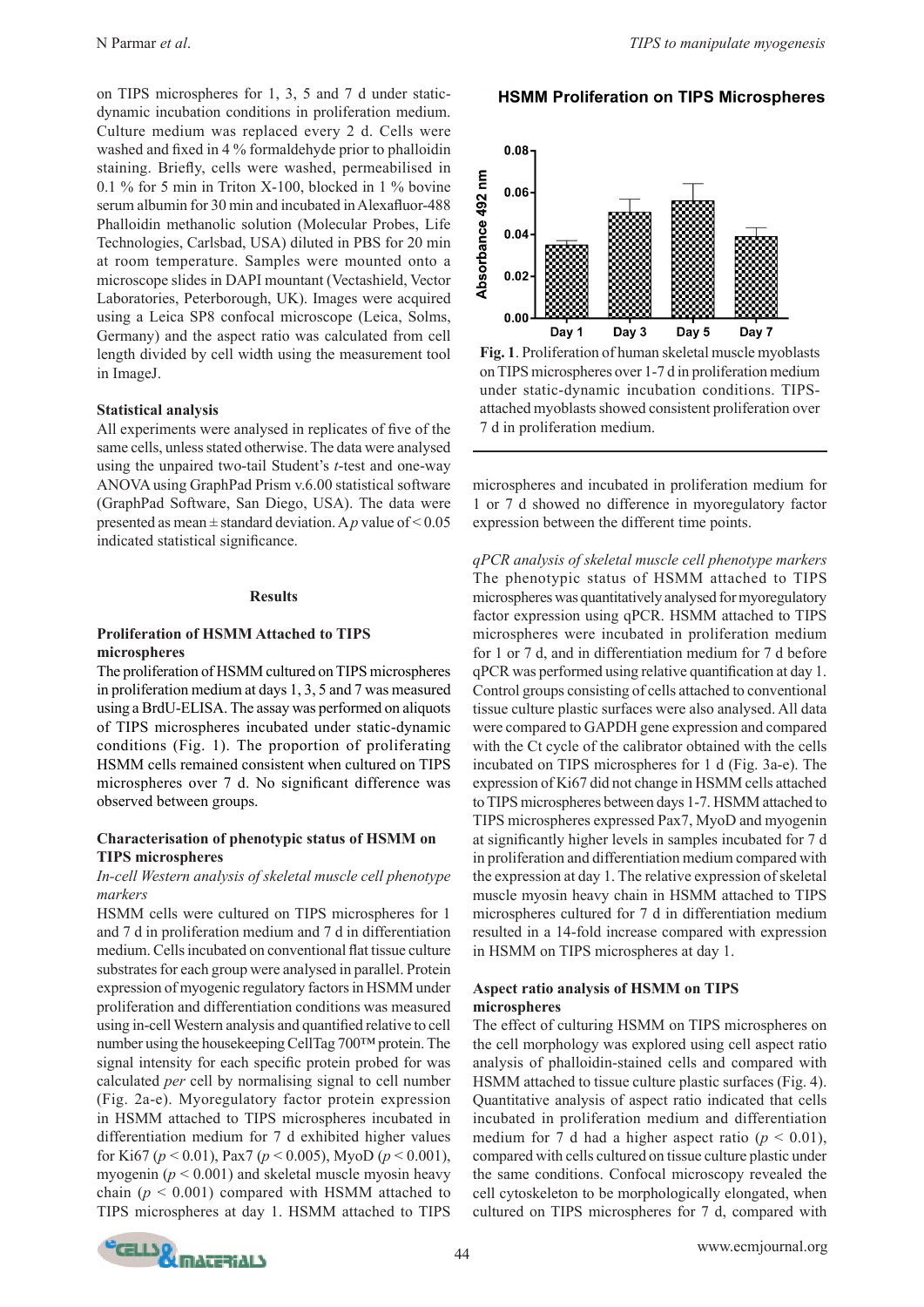on TIPS microspheres for 1, 3, 5 and 7 d under staticdynamic incubation conditions in proliferation medium. Culture medium was replaced every 2 d. Cells were washed and fixed in 4 % formaldehyde prior to phalloidin staining. Briefly, cells were washed, permeabilised in 0.1 % for 5 min in Triton X-100, blocked in 1 % bovine serum albumin for 30 min and incubated in Alexafluor-488 Phalloidin methanolic solution (Molecular Probes, Life Technologies, Carlsbad, USA) diluted in PBS for 20 min at room temperature. Samples were mounted onto a microscope slides in DAPI mountant (Vectashield, Vector Laboratories, Peterborough, UK). Images were acquired using a Leica SP8 confocal microscope (Leica, Solms, Germany) and the aspect ratio was calculated from cell length divided by cell width using the measurement tool in ImageJ.

### **Statistical analysis**

All experiments were analysed in replicates of five of the same cells, unless stated otherwise. The data were analysed using the unpaired two-tail Student's *t*-test and one-way ANOVA using GraphPad Prism v.6.00 statistical software (GraphPad Software, San Diego, USA). The data were presented as mean  $\pm$  standard deviation. A *p* value of  $\leq$  0.05 indicated statistical significance.

### **Results**

## **Proliferation of HSMM Attached to TIPS microspheres**

The proliferation of HSMM cultured on TIPS microspheres in proliferation medium at days 1, 3, 5 and 7 was measured using a BrdU-ELISA. The assay was performed on aliquots of TIPS microspheres incubated under static-dynamic conditions (Fig. 1). The proportion of proliferating HSMM cells remained consistent when cultured on TIPS microspheres over 7 d. No significant difference was observed between groups.

### **Characterisation of phenotypic status of HSMM on TIPS microspheres**

## *In-cell Western analysis of skeletal muscle cell phenotype markers*

HSMM cells were cultured on TIPS microspheres for 1 and 7 d in proliferation medium and 7 d in differentiation medium. Cells incubated on conventional flat tissue culture substrates for each group were analysed in parallel. Protein expression of myogenic regulatory factors in HSMM under proliferation and differentiation conditions was measured using in-cell Western analysis and quantified relative to cell number using the housekeeping CellTag 700™ protein. The signal intensity for each specific protein probed for was calculated *per* cell by normalising signal to cell number (Fig. 2a-e). Myoregulatory factor protein expression in HSMM attached to TIPS microspheres incubated in differentiation medium for 7 d exhibited higher values for Ki67 (*p* < 0.01), Pax7 (*p* < 0.005), MyoD (*p* < 0.001), myogenin ( $p < 0.001$ ) and skeletal muscle myosin heavy chain  $(p < 0.001)$  compared with HSMM attached to TIPS microspheres at day 1. HSMM attached to TIPS

## **HSMM Proliferation on TIPS Microspheres**



**Fig. 1**. Proliferation of human skeletal muscle myoblasts on TIPS microspheres over 1-7 d in proliferation medium under static-dynamic incubation conditions. TIPSattached myoblasts showed consistent proliferation over 7 d in proliferation medium.

microspheres and incubated in proliferation medium for 1 or 7 d showed no difference in myoregulatory factor expression between the different time points.

*qPCR analysis of skeletal muscle cell phenotype markers*  The phenotypic status of HSMM attached to TIPS microspheres was quantitatively analysed for myoregulatory factor expression using qPCR. HSMM attached to TIPS microspheres were incubated in proliferation medium for 1 or 7 d, and in differentiation medium for 7 d before qPCR was performed using relative quantification at day 1. Control groups consisting of cells attached to conventional tissue culture plastic surfaces were also analysed. All data were compared to GAPDH gene expression and compared with the Ct cycle of the calibrator obtained with the cells incubated on TIPS microspheres for 1 d (Fig. 3a-e). The expression of Ki67 did not change in HSMM cells attached to TIPS microspheres between days 1-7. HSMM attached to TIPS microspheres expressed Pax7, MyoD and myogenin at significantly higher levels in samples incubated for 7 d in proliferation and differentiation medium compared with the expression at day 1. The relative expression of skeletal muscle myosin heavy chain in HSMM attached to TIPS microspheres cultured for 7 d in differentiation medium resulted in a 14-fold increase compared with expression in HSMM on TIPS microspheres at day 1.

## **Aspect ratio analysis of HSMM on TIPS microspheres**

The effect of culturing HSMM on TIPS microspheres on the cell morphology was explored using cell aspect ratio analysis of phalloidin-stained cells and compared with HSMM attached to tissue culture plastic surfaces (Fig. 4). Quantitative analysis of aspect ratio indicated that cells incubated in proliferation medium and differentiation medium for 7 d had a higher aspect ratio  $(p < 0.01)$ , compared with cells cultured on tissue culture plastic under the same conditions. Confocal microscopy revealed the cell cytoskeleton to be morphologically elongated, when cultured on TIPS microspheres for 7 d, compared with

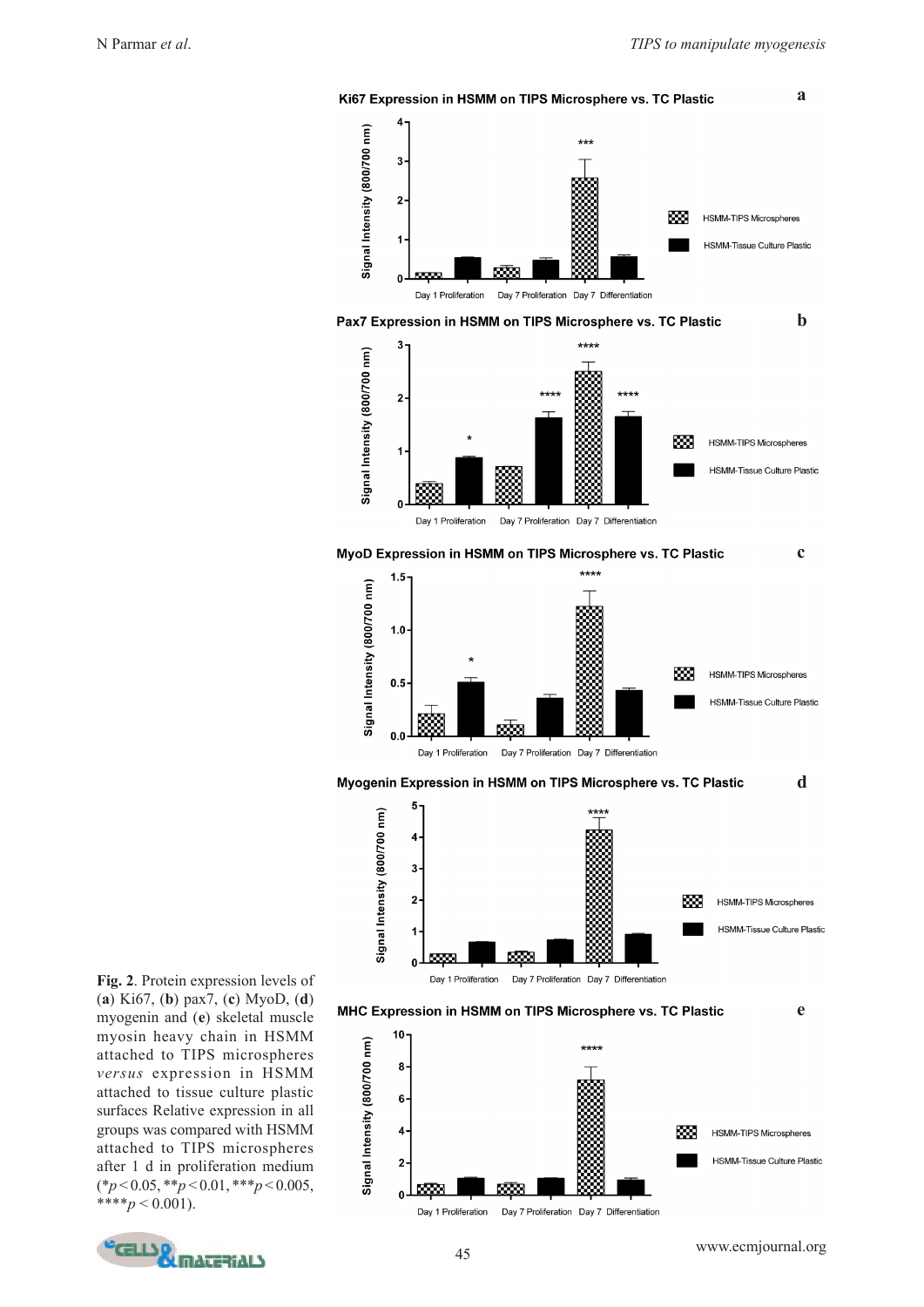

**Fig. 2**. Protein expression levels of (**a**) Ki67, (**b**) pax7, (**c**) MyoD, (**d**) myogenin and (**e**) skeletal muscle myosin heavy chain in HSMM attached to TIPS microspheres *versus* expression in HSMM attached to tissue culture plastic surfaces Relative expression in all groups was compared with HSMM attached to TIPS microspheres after 1 d in proliferation medium (\**p* < 0.05, \*\**p* < 0.01, \*\*\**p* < 0.005,  $***^*p < 0.001$ ).

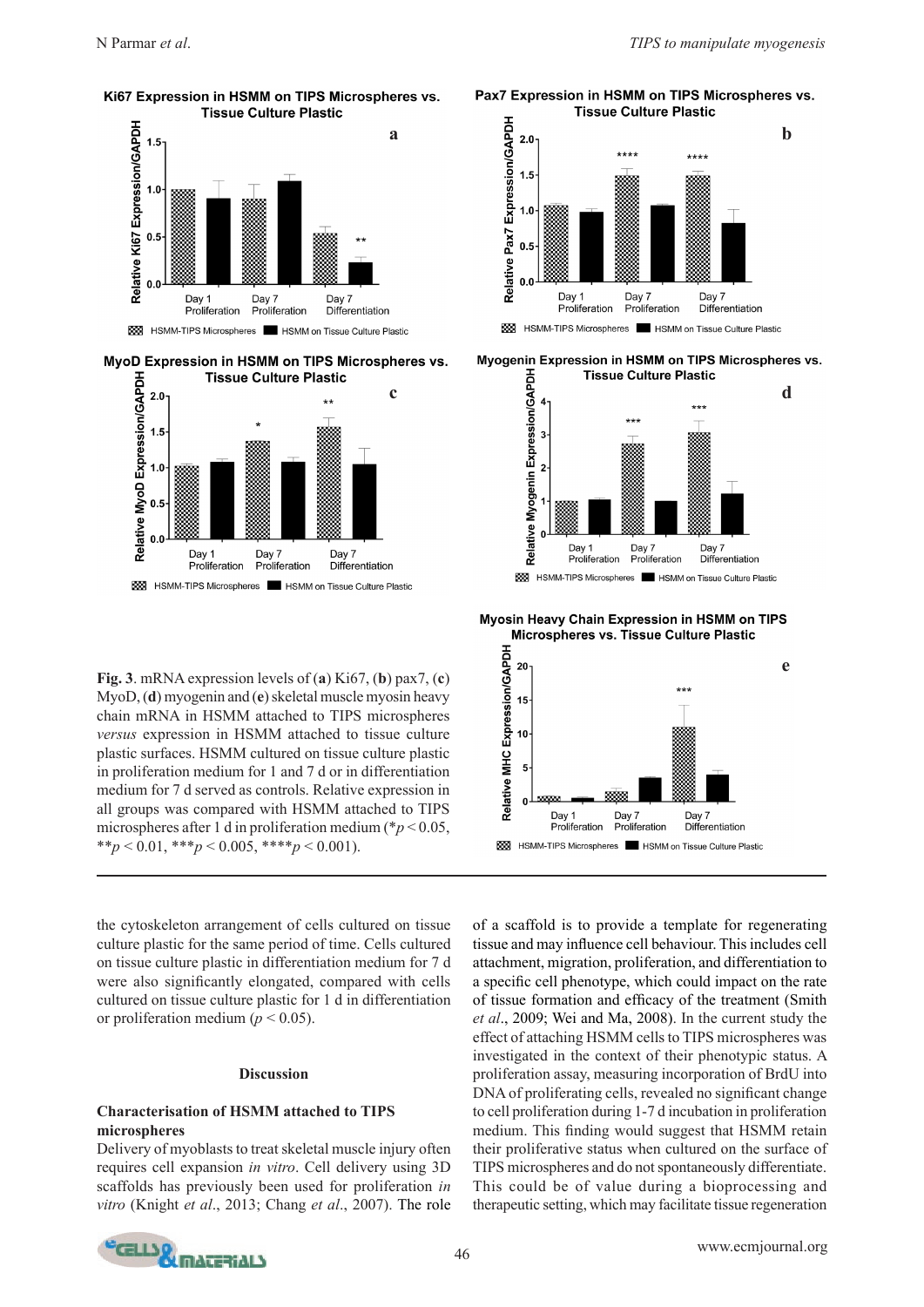Ki67 Expression in HSMM on TIPS Microspheres vs. **Tissue Culture Plastic** 



MyoD Expression in HSMM on TIPS Microspheres vs.



**Fig. 3**. mRNA expression levels of (**a**) Ki67, (**b**) pax7, (**c**) MyoD, (**d**) myogenin and (**e**) skeletal muscle myosin heavy chain mRNA in HSMM attached to TIPS microspheres *versus* expression in HSMM attached to tissue culture plastic surfaces. HSMM cultured on tissue culture plastic in proliferation medium for 1 and 7 d or in differentiation medium for 7 d served as controls. Relative expression in all groups was compared with HSMM attached to TIPS microspheres after 1 d in proliferation medium (\**p* < 0.05, \*\**p* < 0.01, \*\*\**p* < 0.005, \*\*\*\**p* < 0.001).

the cytoskeleton arrangement of cells cultured on tissue culture plastic for the same period of time. Cells cultured on tissue culture plastic in differentiation medium for 7 d were also significantly elongated, compared with cells cultured on tissue culture plastic for 1 d in differentiation or proliferation medium ( $p < 0.05$ ).

#### **Discussion**

## **Characterisation of HSMM attached to TIPS microspheres**

Delivery of myoblasts to treat skeletal muscle injury often requires cell expansion *in vitro*. Cell delivery using 3D scaffolds has previously been used for proliferation *in vitro* (Knight *et al*., 2013; Chang *et al*., 2007). The role





Myogenin Expression in HSMM on TIPS Microspheres vs. **Tissue Culture Plastic** 



Myosin Heavy Chain Expression in HSMM on TIPS Microspheres vs. Tissue Culture Plastic



of a scaffold is to provide a template for regenerating tissue and may influence cell behaviour. This includes cell attachment, migration, proliferation, and differentiation to a specific cell phenotype, which could impact on the rate of tissue formation and efficacy of the treatment (Smith *et al*., 2009; Wei and Ma, 2008). In the current study the effect of attaching HSMM cells to TIPS microspheres was investigated in the context of their phenotypic status. A proliferation assay, measuring incorporation of BrdU into DNA of proliferating cells, revealed no significant change to cell proliferation during 1-7 d incubation in proliferation medium. This finding would suggest that HSMM retain their proliferative status when cultured on the surface of TIPS microspheres and do not spontaneously differentiate. This could be of value during a bioprocessing and therapeutic setting, which may facilitate tissue regeneration

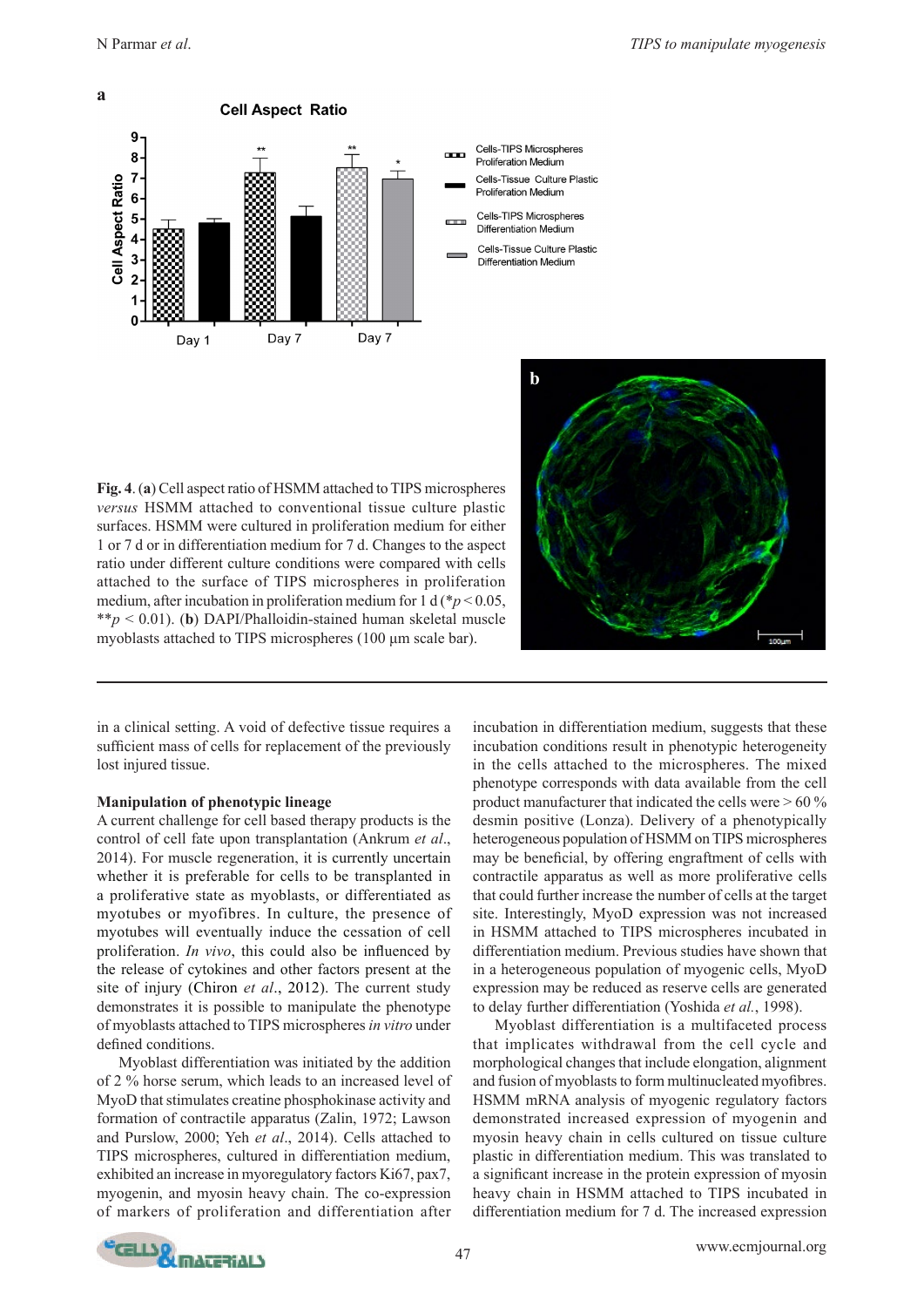



**Fig. 4**. (**a**) Cell aspect ratio of HSMM attached to TIPS microspheres *versus* HSMM attached to conventional tissue culture plastic surfaces. HSMM were cultured in proliferation medium for either 1 or 7 d or in differentiation medium for 7 d. Changes to the aspect ratio under different culture conditions were compared with cells attached to the surface of TIPS microspheres in proliferation medium, after incubation in proliferation medium for 1 d ( $p$  < 0.05, \*\**p* < 0.01). (**b**) DAPI/Phalloidin-stained human skeletal muscle myoblasts attached to TIPS microspheres (100 μm scale bar).



in a clinical setting. A void of defective tissue requires a sufficient mass of cells for replacement of the previously lost injured tissue.

## **Manipulation of phenotypic lineage**

A current challenge for cell based therapy products is the control of cell fate upon transplantation (Ankrum *et al*., 2014). For muscle regeneration, it is currently uncertain whether it is preferable for cells to be transplanted in a proliferative state as myoblasts, or differentiated as myotubes or myofibres. In culture, the presence of myotubes will eventually induce the cessation of cell proliferation. *In vivo*, this could also be influenced by the release of cytokines and other factors present at the site of injury (Chiron *et al*., 2012). The current study demonstrates it is possible to manipulate the phenotype of myoblasts attached to TIPS microspheres *in vitro* under defined conditions.

Myoblast differentiation was initiated by the addition of 2 % horse serum, which leads to an increased level of MyoD that stimulates creatine phosphokinase activity and formation of contractile apparatus (Zalin, 1972; Lawson and Purslow, 2000; Yeh *et al*., 2014). Cells attached to TIPS microspheres, cultured in differentiation medium, exhibited an increase in myoregulatory factors Ki67, pax7, myogenin, and myosin heavy chain. The co-expression of markers of proliferation and differentiation after

incubation in differentiation medium, suggests that these incubation conditions result in phenotypic heterogeneity in the cells attached to the microspheres. The mixed phenotype corresponds with data available from the cell product manufacturer that indicated the cells were > 60 % desmin positive (Lonza). Delivery of a phenotypically heterogeneous population of HSMM on TIPS microspheres may be beneficial, by offering engraftment of cells with contractile apparatus as well as more proliferative cells that could further increase the number of cells at the target site. Interestingly, MyoD expression was not increased in HSMM attached to TIPS microspheres incubated in differentiation medium. Previous studies have shown that in a heterogeneous population of myogenic cells, MyoD expression may be reduced as reserve cells are generated to delay further differentiation (Yoshida *et al.*, 1998).

Myoblast differentiation is a multifaceted process that implicates withdrawal from the cell cycle and morphological changes that include elongation, alignment and fusion of myoblasts to form multinucleated myofibres. HSMM mRNA analysis of myogenic regulatory factors demonstrated increased expression of myogenin and myosin heavy chain in cells cultured on tissue culture plastic in differentiation medium. This was translated to a significant increase in the protein expression of myosin heavy chain in HSMM attached to TIPS incubated in differentiation medium for 7 d. The increased expression

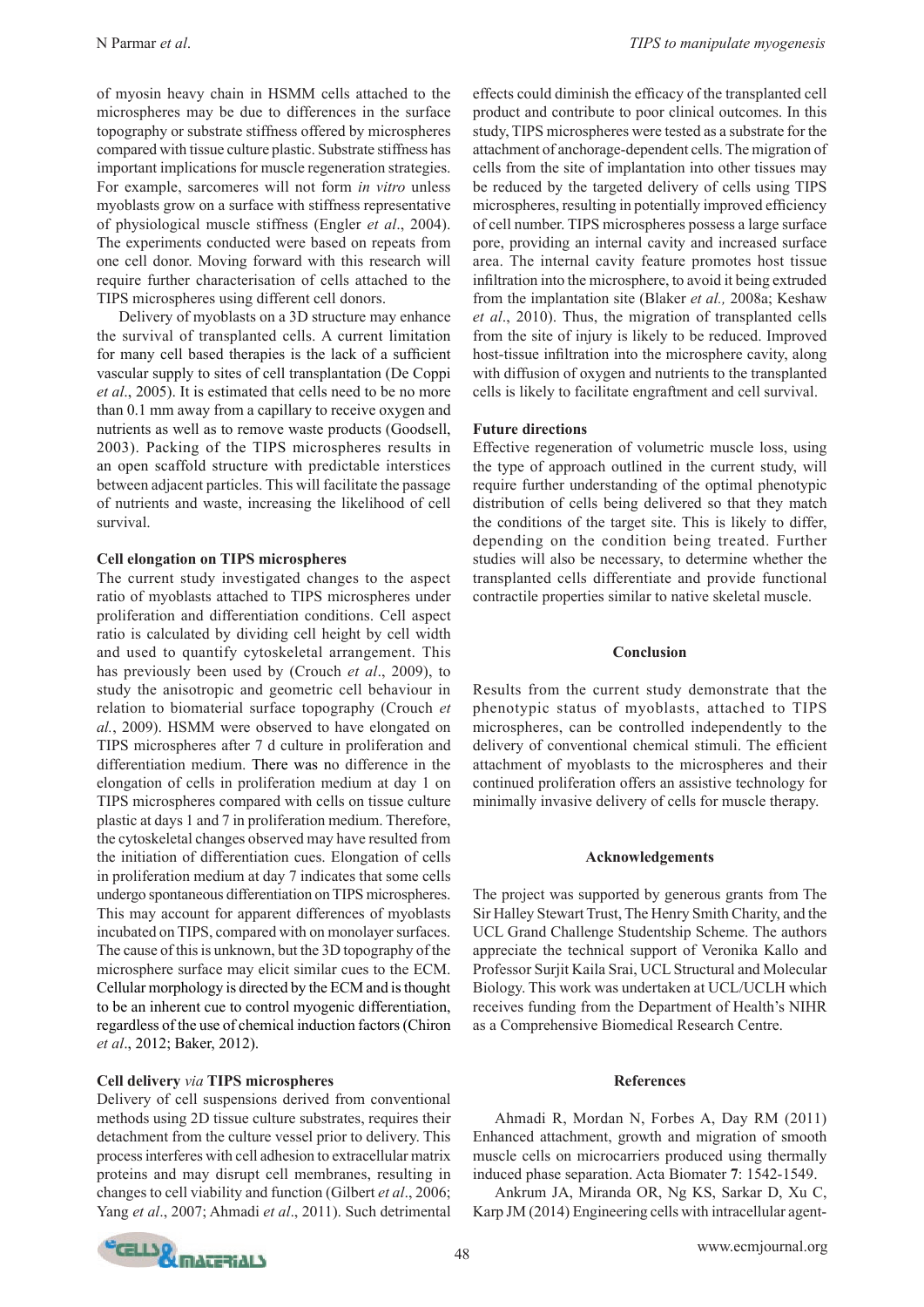of myosin heavy chain in HSMM cells attached to the microspheres may be due to differences in the surface topography or substrate stiffness offered by microspheres compared with tissue culture plastic. Substrate stiffness has important implications for muscle regeneration strategies. For example, sarcomeres will not form *in vitro* unless myoblasts grow on a surface with stiffness representative of physiological muscle stiffness (Engler *et al*., 2004). The experiments conducted were based on repeats from one cell donor. Moving forward with this research will require further characterisation of cells attached to the TIPS microspheres using different cell donors.

Delivery of myoblasts on a 3D structure may enhance the survival of transplanted cells. A current limitation for many cell based therapies is the lack of a sufficient vascular supply to sites of cell transplantation (De Coppi *et al*., 2005). It is estimated that cells need to be no more than 0.1 mm away from a capillary to receive oxygen and nutrients as well as to remove waste products (Goodsell, 2003). Packing of the TIPS microspheres results in an open scaffold structure with predictable interstices between adjacent particles. This will facilitate the passage of nutrients and waste, increasing the likelihood of cell survival.

### **Cell elongation on TIPS microspheres**

The current study investigated changes to the aspect ratio of myoblasts attached to TIPS microspheres under proliferation and differentiation conditions. Cell aspect ratio is calculated by dividing cell height by cell width and used to quantify cytoskeletal arrangement. This has previously been used by (Crouch *et al*., 2009), to study the anisotropic and geometric cell behaviour in relation to biomaterial surface topography (Crouch *et al.*, 2009). HSMM were observed to have elongated on TIPS microspheres after 7 d culture in proliferation and differentiation medium. There was no difference in the elongation of cells in proliferation medium at day 1 on TIPS microspheres compared with cells on tissue culture plastic at days 1 and 7 in proliferation medium. Therefore, the cytoskeletal changes observed may have resulted from the initiation of differentiation cues. Elongation of cells in proliferation medium at day 7 indicates that some cells undergo spontaneous differentiation on TIPS microspheres. This may account for apparent differences of myoblasts incubated on TIPS, compared with on monolayer surfaces. The cause of this is unknown, but the 3D topography of the microsphere surface may elicit similar cues to the ECM. Cellular morphology is directed by the ECM and is thought to be an inherent cue to control myogenic differentiation, regardless of the use of chemical induction factors (Chiron *et al*., 2012; Baker, 2012).

### **Cell delivery** *via* **TIPS microspheres**

Delivery of cell suspensions derived from conventional methods using 2D tissue culture substrates, requires their detachment from the culture vessel prior to delivery. This process interferes with cell adhesion to extracellular matrix proteins and may disrupt cell membranes, resulting in changes to cell viability and function (Gilbert *et al*., 2006; Yang *et al*., 2007; Ahmadi *et al*., 2011). Such detrimental effects could diminish the efficacy of the transplanted cell product and contribute to poor clinical outcomes. In this study, TIPS microspheres were tested as a substrate for the attachment of anchorage-dependent cells. The migration of cells from the site of implantation into other tissues may be reduced by the targeted delivery of cells using TIPS microspheres, resulting in potentially improved efficiency of cell number. TIPS microspheres possess a large surface pore, providing an internal cavity and increased surface area. The internal cavity feature promotes host tissue infiltration into the microsphere, to avoid it being extruded from the implantation site (Blaker *et al.,* 2008a; Keshaw *et al*., 2010). Thus, the migration of transplanted cells from the site of injury is likely to be reduced. Improved host-tissue infiltration into the microsphere cavity, along with diffusion of oxygen and nutrients to the transplanted cells is likely to facilitate engraftment and cell survival.

### **Future directions**

Effective regeneration of volumetric muscle loss, using the type of approach outlined in the current study, will require further understanding of the optimal phenotypic distribution of cells being delivered so that they match the conditions of the target site. This is likely to differ, depending on the condition being treated. Further studies will also be necessary, to determine whether the transplanted cells differentiate and provide functional contractile properties similar to native skeletal muscle.

#### **Conclusion**

Results from the current study demonstrate that the phenotypic status of myoblasts, attached to TIPS microspheres, can be controlled independently to the delivery of conventional chemical stimuli. The efficient attachment of myoblasts to the microspheres and their continued proliferation offers an assistive technology for minimally invasive delivery of cells for muscle therapy.

### **Acknowledgements**

The project was supported by generous grants from The Sir Halley Stewart Trust, The Henry Smith Charity, and the UCL Grand Challenge Studentship Scheme. The authors appreciate the technical support of Veronika Kallo and Professor Surjit Kaila Srai, UCL Structural and Molecular Biology. This work was undertaken at UCL/UCLH which receives funding from the Department of Health's NIHR as a Comprehensive Biomedical Research Centre.

### **References**

Ahmadi R, Mordan N, Forbes A, Day RM (2011) Enhanced attachment, growth and migration of smooth muscle cells on microcarriers produced using thermally induced phase separation. Acta Biomater **7**: 1542-1549.

Ankrum JA, Miranda OR, Ng KS, Sarkar D, Xu C, Karp JM (2014) Engineering cells with intracellular agent-

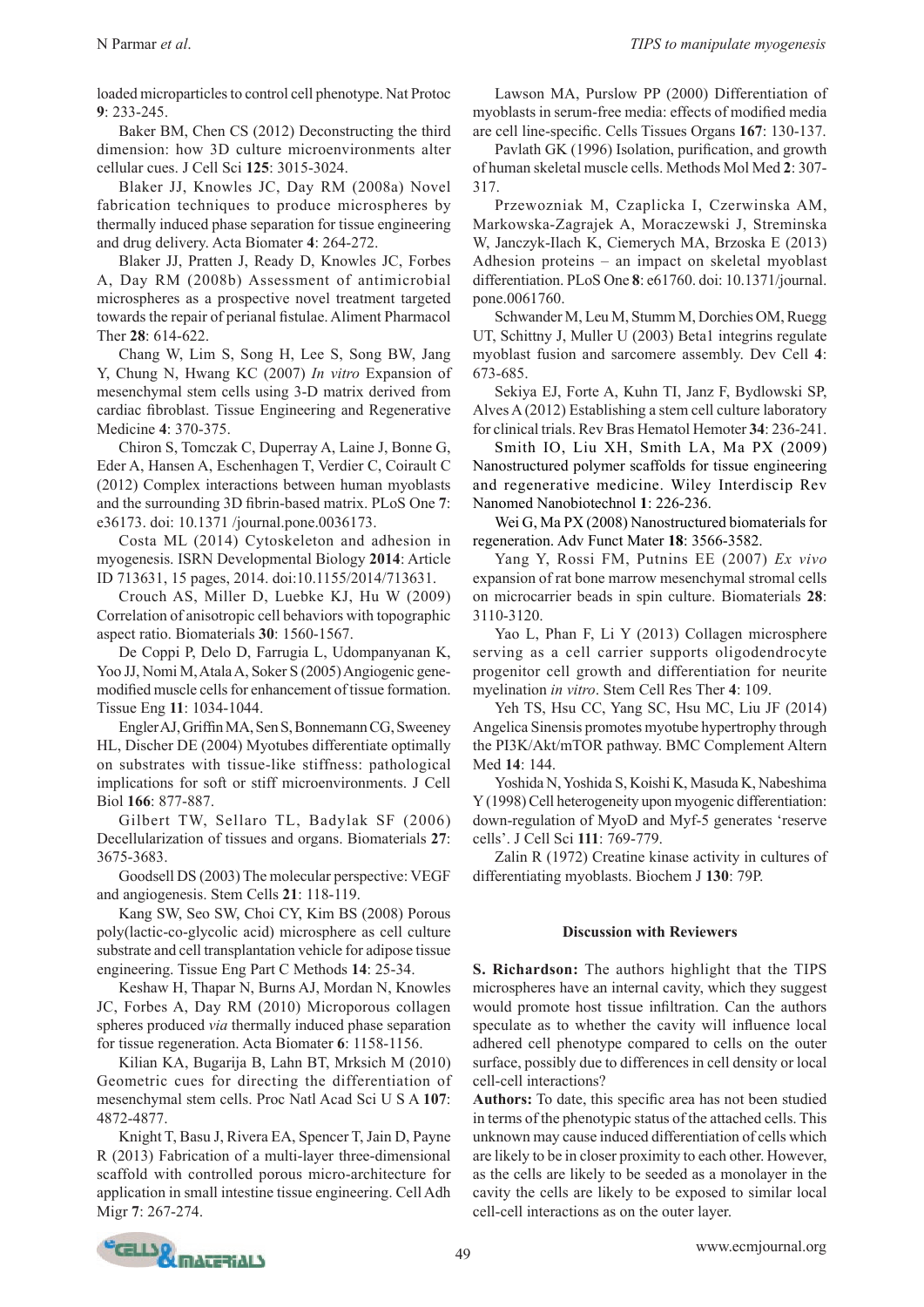loaded microparticles to control cell phenotype. Nat Protoc **9**: 233-245.

Baker BM, Chen CS (2012) Deconstructing the third dimension: how 3D culture microenvironments alter cellular cues. J Cell Sci **125**: 3015-3024.

Blaker JJ, Knowles JC, Day RM (2008a) Novel fabrication techniques to produce microspheres by thermally induced phase separation for tissue engineering and drug delivery. Acta Biomater **4**: 264-272.

Blaker JJ, Pratten J, Ready D, Knowles JC, Forbes A, Day RM (2008b) Assessment of antimicrobial microspheres as a prospective novel treatment targeted towards the repair of perianal fistulae. Aliment Pharmacol Ther **28**: 614-622.

Chang W, Lim S, Song H, Lee S, Song BW, Jang Y, Chung N, Hwang KC (2007) *In vitro* Expansion of mesenchymal stem cells using 3-D matrix derived from cardiac fibroblast. Tissue Engineering and Regenerative Medicine **4**: 370-375.

Chiron S, Tomczak C, Duperray A, Laine J, Bonne G, Eder A, Hansen A, Eschenhagen T, Verdier C, Coirault C (2012) Complex interactions between human myoblasts and the surrounding 3D fibrin-based matrix. PLoS One **7**: e36173. doi: 10.1371 /journal.pone.0036173.

Costa ML (2014) Cytoskeleton and adhesion in myogenesis. ISRN Developmental Biology **2014**: Article ID 713631, 15 pages, 2014. doi:10.1155/2014/713631.

Crouch AS, Miller D, Luebke KJ, Hu W (2009) Correlation of anisotropic cell behaviors with topographic aspect ratio. Biomaterials **30**: 1560-1567.

De Coppi P, Delo D, Farrugia L, Udompanyanan K, Yoo JJ, Nomi M, Atala A, Soker S (2005) Angiogenic genemodified muscle cells for enhancement of tissue formation. Tissue Eng **11**: 1034-1044.

Engler AJ, Griffin MA, Sen S, Bonnemann CG, Sweeney HL, Discher DE (2004) Myotubes differentiate optimally on substrates with tissue-like stiffness: pathological implications for soft or stiff microenvironments. J Cell Biol **166**: 877-887.

Gilbert TW, Sellaro TL, Badylak SF (2006) Decellularization of tissues and organs. Biomaterials **27**: 3675-3683.

Goodsell DS (2003) The molecular perspective: VEGF and angiogenesis. Stem Cells **21**: 118-119.

Kang SW, Seo SW, Choi CY, Kim BS (2008) Porous poly(lactic-co-glycolic acid) microsphere as cell culture substrate and cell transplantation vehicle for adipose tissue engineering. Tissue Eng Part C Methods **14**: 25-34.

Keshaw H, Thapar N, Burns AJ, Mordan N, Knowles JC, Forbes A, Day RM (2010) Microporous collagen spheres produced *via* thermally induced phase separation for tissue regeneration. Acta Biomater **6**: 1158-1156.

Kilian KA, Bugarija B, Lahn BT, Mrksich M (2010) Geometric cues for directing the differentiation of mesenchymal stem cells. Proc Natl Acad Sci U S A **107**: 4872-4877.

Knight T, Basu J, Rivera EA, Spencer T, Jain D, Payne R (2013) Fabrication of a multi-layer three-dimensional scaffold with controlled porous micro-architecture for application in small intestine tissue engineering. Cell Adh Migr **7**: 267-274.

Lawson MA, Purslow PP (2000) Differentiation of myoblasts in serum-free media: effects of modified media are cell line-specific. Cells Tissues Organs **167**: 130-137.

Pavlath GK (1996) Isolation, purification, and growth of human skeletal muscle cells. Methods Mol Med **2**: 307- 317.

Przewozniak M, Czaplicka I, Czerwinska AM, Markowska-Zagrajek A, Moraczewski J, Streminska W, Janczyk-Ilach K, Ciemerych MA, Brzoska E (2013) Adhesion proteins – an impact on skeletal myoblast differentiation. PLoS One **8**: e61760. doi: 10.1371/journal. pone.0061760.

Schwander M, Leu M, Stumm M, Dorchies OM, Ruegg UT, Schittny J, Muller U (2003) Beta1 integrins regulate myoblast fusion and sarcomere assembly. Dev Cell **4**: 673-685.

Sekiya EJ, Forte A, Kuhn TI, Janz F, Bydlowski SP, Alves A (2012) Establishing a stem cell culture laboratory for clinical trials. Rev Bras Hematol Hemoter **34**: 236-241.

Smith IO, Liu XH, Smith LA, Ma PX (2009) Nanostructured polymer scaffolds for tissue engineering and regenerative medicine. Wiley Interdiscip Rev Nanomed Nanobiotechnol **1**: 226-236.

Wei G, Ma PX (2008) Nanostructured biomaterials for regeneration. Adv Funct Mater **18**: 3566-3582.

Yang Y, Rossi FM, Putnins EE (2007) *Ex vivo* expansion of rat bone marrow mesenchymal stromal cells on microcarrier beads in spin culture. Biomaterials **28**: 3110-3120.

Yao L, Phan F, Li Y (2013) Collagen microsphere serving as a cell carrier supports oligodendrocyte progenitor cell growth and differentiation for neurite myelination *in vitro*. Stem Cell Res Ther **4**: 109.

Yeh TS, Hsu CC, Yang SC, Hsu MC, Liu JF (2014) Angelica Sinensis promotes myotube hypertrophy through the PI3K/Akt/mTOR pathway. BMC Complement Altern Med **14**: 144.

Yoshida N, Yoshida S, Koishi K, Masuda K, Nabeshima Y (1998) Cell heterogeneity upon myogenic differentiation: down-regulation of MyoD and Myf-5 generates 'reserve cells'. J Cell Sci **111**: 769-779.

Zalin R (1972) Creatine kinase activity in cultures of differentiating myoblasts. Biochem J **130**: 79P.

## **Discussion with Reviewers**

**S. Richardson:** The authors highlight that the TIPS microspheres have an internal cavity, which they suggest would promote host tissue infiltration. Can the authors speculate as to whether the cavity will influence local adhered cell phenotype compared to cells on the outer surface, possibly due to differences in cell density or local cell-cell interactions?

**Authors:** To date, this specific area has not been studied in terms of the phenotypic status of the attached cells. This unknown may cause induced differentiation of cells which are likely to be in closer proximity to each other. However, as the cells are likely to be seeded as a monolayer in the cavity the cells are likely to be exposed to similar local cell-cell interactions as on the outer layer.